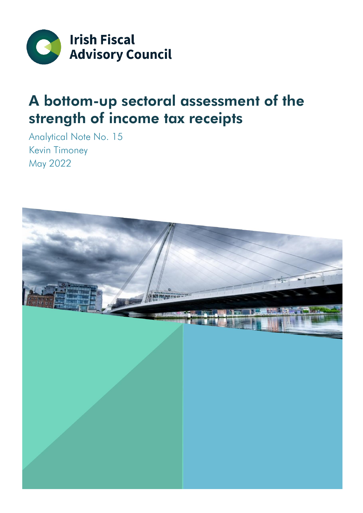

### A bottom-up sectoral assessment of the strength of income tax receipts

Analytical Note No. 15 Kevin Timoney May 2022

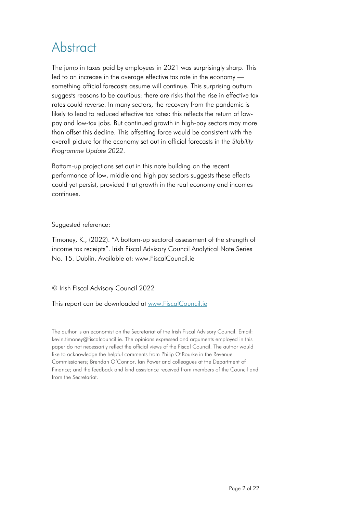### **Abstract**

The jump in taxes paid by employees in 2021 was surprisingly sharp. This led to an increase in the average effective tax rate in the economy something official forecasts assume will continue. This surprising outturn suggests reasons to be cautious: there are risks that the rise in effective tax rates could reverse. In many sectors, the recovery from the pandemic is likely to lead to reduced effective tax rates: this reflects the return of lowpay and low-tax jobs. But continued growth in high-pay sectors may more than offset this decline. This offsetting force would be consistent with the overall picture for the economy set out in official forecasts in the *Stability Programme Update 2022*.

Bottom-up projections set out in this note building on the recent performance of low, middle and high pay sectors suggests these effects could yet persist, provided that growth in the real economy and incomes continues.

#### Suggested reference:

Timoney, K., (2022). "A bottom-up sectoral assessment of the strength of income tax receipts". Irish Fiscal Advisory Council Analytical Note Series No. 15. Dublin. Available at: www.FiscalCouncil.ie

© Irish Fiscal Advisory Council 2022

This report can be downloaded at [www.FiscalCouncil.ie](http://www.fiscalcouncil.ie/)

The author is an economist on the Secretariat of the Irish Fiscal Advisory Council. Email: kevin.timoney@fiscalcouncil.ie. The opinions expressed and arguments employed in this paper do not necessarily reflect the official views of the Fiscal Council. The author would like to acknowledge the helpful comments from Philip O'Rourke in the Revenue Commissioners; Brendan O'Connor, Ian Power and colleagues at the Department of Finance; and the feedback and kind assistance received from members of the Council and from the Secretariat.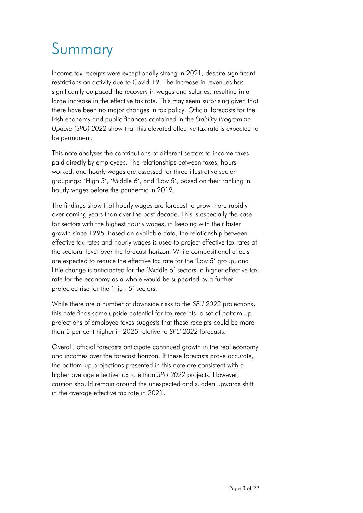# Summary

Income tax receipts were exceptionally strong in 2021, despite significant restrictions on activity due to Covid-19. The increase in revenues has significantly outpaced the recovery in wages and salaries, resulting in a large increase in the effective tax rate. This may seem surprising given that there have been no major changes in tax policy. Official forecasts for the Irish economy and public finances contained in the *Stability Programme Update (SPU) 2022* show that this elevated effective tax rate is expected to be permanent.

This note analyses the contributions of different sectors to income taxes paid directly by employees. The relationships between taxes, hours worked, and hourly wages are assessed for three illustrative sector groupings: 'High 5', 'Middle 6', and 'Low 5', based on their ranking in hourly wages before the pandemic in 2019.

The findings show that hourly wages are forecast to grow more rapidly over coming years than over the past decade. This is especially the case for sectors with the highest hourly wages, in keeping with their faster growth since 1995. Based on available data, the relationship between effective tax rates and hourly wages is used to project effective tax rates at the sectoral level over the forecast horizon. While compositional effects are expected to reduce the effective tax rate for the 'Low 5' group, and little change is anticipated for the 'Middle 6' sectors, a higher effective tax rate for the economy as a whole would be supported by a further projected rise for the 'High 5' sectors.

While there are a number of downside risks to the *SPU 2022* projections, this note finds some upside potential for tax receipts: a set of bottom-up projections of employee taxes suggests that these receipts could be more than 5 per cent higher in 2025 relative to *SPU 2022* forecasts.

Overall, official forecasts anticipate continued growth in the real economy and incomes over the forecast horizon. If these forecasts prove accurate, the bottom-up projections presented in this note are consistent with a higher average effective tax rate than *SPU 2022* projects. However, caution should remain around the unexpected and sudden upwards shift in the average effective tax rate in 2021.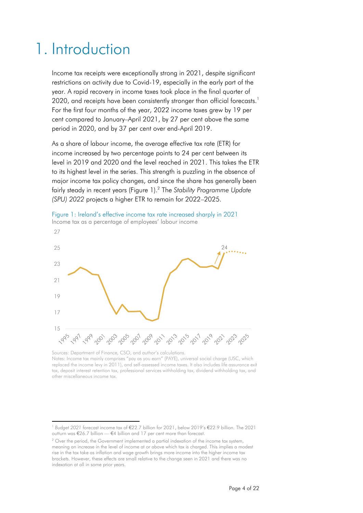### 1. Introduction

Income tax receipts were exceptionally strong in 2021, despite significant restrictions on activity due to Covid-19, especially in the early part of the year. A rapid recovery in income taxes took place in the final quarter of 2020, and receipts have been consistently stronger than official forecasts.<sup>1</sup> For the first four months of the year, 2022 income taxes grew by 19 per cent compared to January–April 2021, by 27 per cent above the same period in 2020, and by 37 per cent over end-April 2019.

As a share of labour income, the average effective tax rate (ETR) for income increased by two percentage points to 24 per cent between its level in 2019 and 2020 and the level reached in 2021. This takes the ETR to its highest level in the series. This strength is puzzling in the absence of major income tax policy changes, and since the share has generally been fairly steady in recent years (Figure 1). 2 The *Stability Programme Update (SPU) 2022* projects a higher ETR to remain for 2022–2025.



Sources: Department of Finance, CSO, and author's calculations. Notes: Income tax mainly comprises "pay as you earn" (PAYE), universal social charge (USC, which replaced the income levy in 2011), and self-assessed income taxes. It also includes life assurance exit tax, deposit interest retention tax, professional services withholding tax, dividend withholding tax, and other miscellaneous income tax.

<sup>1</sup> *Budget 2021* forecast income tax of €22.7 billion for 2021, below 2019's €22.9 billion. The 2021 outturn was €26.7 billion — €4 billion and 17 per cent more than forecast.

<sup>&</sup>lt;sup>2</sup> Over the period, the Government implemented a partial indexation of the income tax system, meaning an increase in the level of income at or above which tax is charged. This implies a modest rise in the tax take as inflation and wage growth brings more income into the higher income tax brackets. However, these effects are small relative to the change seen in 2021 and there was no indexation at all in some prior years.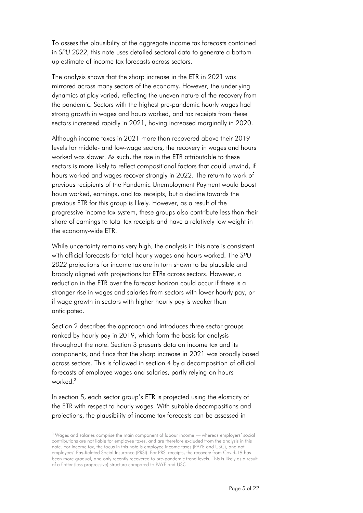To assess the plausibility of the aggregate income tax forecasts contained in *SPU 2022*, this note uses detailed sectoral data to generate a bottomup estimate of income tax forecasts across sectors.

The analysis shows that the sharp increase in the ETR in 2021 was mirrored across many sectors of the economy. However, the underlying dynamics at play varied, reflecting the uneven nature of the recovery from the pandemic. Sectors with the highest pre-pandemic hourly wages had strong growth in wages and hours worked, and tax receipts from these sectors increased rapidly in 2021, having increased marginally in 2020.

Although income taxes in 2021 more than recovered above their 2019 levels for middle- and low-wage sectors, the recovery in wages and hours worked was slower. As such, the rise in the ETR attributable to these sectors is more likely to reflect compositional factors that could unwind, if hours worked and wages recover strongly in 2022. The return to work of previous recipients of the Pandemic Unemployment Payment would boost hours worked, earnings, and tax receipts, but a decline towards the previous ETR for this group is likely. However, as a result of the progressive income tax system, these groups also contribute less than their share of earnings to total tax receipts and have a relatively low weight in the economy-wide ETR.

While uncertainty remains very high, the analysis in this note is consistent with official forecasts for total hourly wages and hours worked. The *SPU 2022* projections for income tax are in turn shown to be plausible and broadly aligned with projections for ETRs across sectors. However, a reduction in the ETR over the forecast horizon could occur if there is a stronger rise in wages and salaries from sectors with lower hourly pay, or if wage growth in sectors with higher hourly pay is weaker than anticipated.

Section 2 describes the approach and introduces three sector groups ranked by hourly pay in 2019, which form the basis for analysis throughout the note. Section 3 presents data on income tax and its components, and finds that the sharp increase in 2021 was broadly based across sectors. This is followed in section 4 by a decomposition of official forecasts of employee wages and salaries, partly relying on hours worked. 3

In section 5, each sector group's ETR is projected using the elasticity of the ETR with respect to hourly wages. With suitable decompositions and projections, the plausibility of income tax forecasts can be assessed in

<sup>&</sup>lt;sup>3</sup> Wages and salaries comprise the main component of labour income — whereas employers' social contributions are not liable for employee taxes, and are therefore excluded from the analysis in this note. For income tax, the focus in this note is employee income taxes (PAYE and USC), and not employees' Pay-Related Social Insurance (PRSI). For PRSI receipts, the recovery from Covid-19 has been more gradual, and only recently recovered to pre-pandemic trend levels. This is likely as a result of a flatter (less progressive) structure compared to PAYE and USC.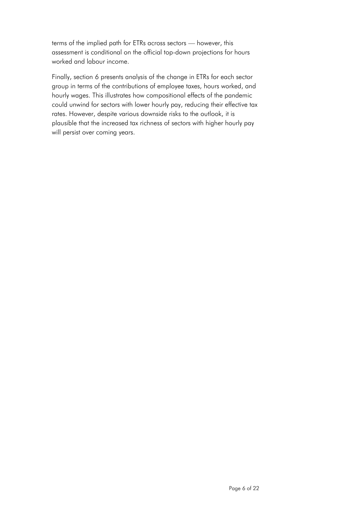terms of the implied path for ETRs across sectors — however, this assessment is conditional on the official top-down projections for hours worked and labour income.

Finally, section 6 presents analysis of the change in ETRs for each sector group in terms of the contributions of employee taxes, hours worked, and hourly wages. This illustrates how compositional effects of the pandemic could unwind for sectors with lower hourly pay, reducing their effective tax rates. However, despite various downside risks to the outlook, it is plausible that the increased tax richness of sectors with higher hourly pay will persist over coming years.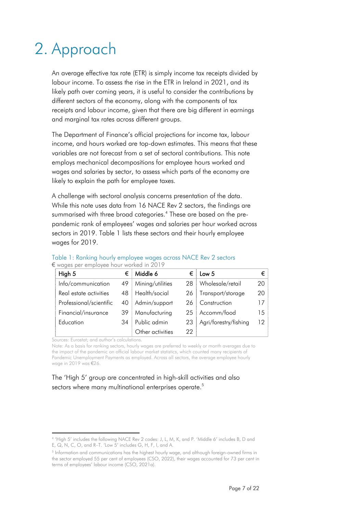## 2. Approach

An average effective tax rate (ETR) is simply income tax receipts divided by labour income. To assess the rise in the ETR in Ireland in 2021, and its likely path over coming years, it is useful to consider the contributions by different sectors of the economy, along with the components of tax receipts and labour income, given that there are big different in earnings and marginal tax rates across different groups.

The Department of Finance's official projections for income tax, labour income, and hours worked are top-down estimates. This means that these variables are not forecast from a set of sectoral contributions. This note employs mechanical decompositions for employee hours worked and wages and salaries by sector, to assess which parts of the economy are likely to explain the path for employee taxes.

A challenge with sectoral analysis concerns presentation of the data. While this note uses data from 16 NACE Rev 2 sectors, the findings are summarised with three broad categories.<sup>4</sup> These are based on the prepandemic rank of employees' wages and salaries per hour worked across sectors in 2019. Table 1 lists these sectors and their hourly employee wages for 2019.

| High 5                  | €  | Middle 6         | €   | Low 5                 | €  |
|-------------------------|----|------------------|-----|-----------------------|----|
| Info/communication      | 49 | Mining/utilities | 28  | Wholesale/retail      | 20 |
| Real estate activities  | 48 | Health/social    | 26  | Transport/storage     | 20 |
| Professional/scientific | 40 | Admin/support    | 26. | Construction          | 17 |
| Financial/insurance     | 39 | Manufacturing    |     | 25   Accomm/food      | 15 |
| Education               | 34 | Public admin     | 23  | Agri/forestry/fishing | 12 |
|                         |    | Other activities | 22  |                       |    |

#### Table 1: Ranking hourly employee wages across NACE Rev 2 sectors € wages per employee hour worked in 2019

Sources: Eurostat; and author's calculations.

Note: As a basis for ranking sectors, hourly wages are preferred to weekly or month averages due to the impact of the pandemic on official labour market statistics, which counted many recipients of Pandemic Unemployment Payments as employed. Across all sectors, the average employee hourly wage in 2019 was €26.

The 'High 5' group are concentrated in high-skill activities and also sectors where many multinational enterprises operate.<sup>5</sup>

<sup>4</sup> 'High 5' includes the following NACE Rev 2 codes: J, L, M, K, and P. 'Middle 6' includes B, D and E, Q, N, C, O, and R–T. 'Low 5' includes G, H, F, I, and A.

<sup>5</sup> Information and communications has the highest hourly wage, and although foreign-owned firms in the sector employed 55 per cent of employees (CSO, 2022), their wages accounted for 73 per cent in terms of employees' labour income (CSO, 2021a).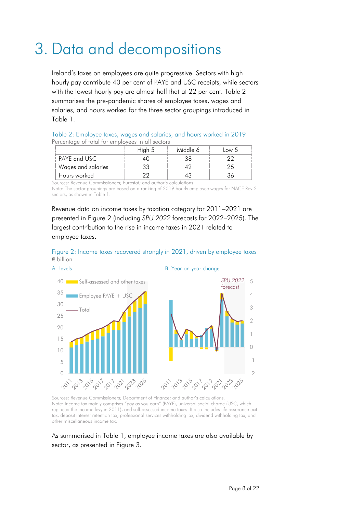### 3. Data and decompositions

Ireland's taxes on employees are quite progressive. Sectors with high hourly pay contribute 40 per cent of PAYE and USC receipts, while sectors with the lowest hourly pay are almost half that at 22 per cent. Table 2 summarises the pre-pandemic shares of employee taxes, wages and salaries, and hours worked for the three sector groupings introduced in Table 1.

| Table 2: Employee taxes, wages and salaries, and hours worked in 2019 |  |  |  |
|-----------------------------------------------------------------------|--|--|--|
| Percentage of total for employees in all sectors                      |  |  |  |

|                    | High 5 | Middle 6 | Low 5 |
|--------------------|--------|----------|-------|
| PAYE and USC       |        | 38       |       |
| Wages and salaries | 33     |          | 25    |
| Hours worked       | מר     |          |       |

Sources: Revenue Commissioners; Eurostat; and author's calculations.

Note: The sector groupings are based on a ranking of 2019 hourly employee wages for NACE Rev 2 sectors, as shown in Table 1.

Revenue data on income taxes by taxation category for 2011–2021 are presented in Figure 2 (including *SPU 2022* forecasts for 2022–2025). The largest contribution to the rise in income taxes in 2021 related to employee taxes.





A. Levels **B. Year-on-year change** 



Sources: Revenue Commissioners; Department of Finance; and author's calculations. Note: Income tax mainly comprises "pay as you earn" (PAYE), universal social charge (USC, which replaced the income levy in 2011), and self-assessed income taxes. It also includes life assurance exit tax, deposit interest retention tax, professional services withholding tax, dividend withholding tax, and other miscellaneous income tax.

As summarised in Table 1, employee income taxes are also available by sector, as presented in Figure 3.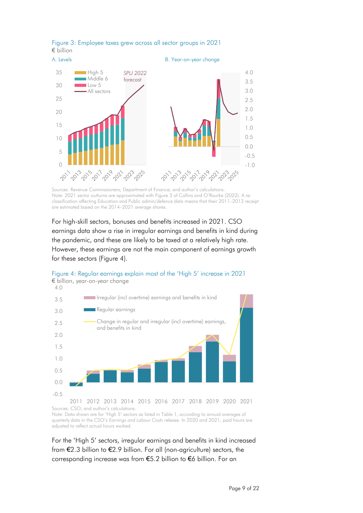

#### Figure 3: Employee taxes grew across all sector groups in 2021 € billion

Sources: Revenue Commissioners; Department of Finance; and author's calculations. Note: 2021 sector outturns are approximated with Figure 3 of Collins and O'Rourke (2022). A reclassification affecting Education and Public admin/defence data means that their 2011–2013 receipt are estimated based on the 2014–2021 average shares.

For high-skill sectors, bonuses and benefits increased in 2021. CSO earnings data show a rise in irregular earnings and benefits in kind during the pandemic, and these are likely to be taxed at a relatively high rate. However, these earnings are not the main component of earnings growth for these sectors (Figure 4).



Figure 4: Regular earnings explain most of the 'High 5' increase in 2021 € billion, year-on-year change

Sources: CSO; and author's calculations. Note: Data shown are for 'High 5' sectors as listed in Table 1, according to annual averages of quarterly data in the CSO's *Earnings and Labour Costs* release. In 2020 and 2021, paid hours are adjusted to reflect actual hours worked.

For the 'High 5' sectors, irregular earnings and benefits in kind increased from €2.3 billion to €2.9 billion. For all (non-agriculture) sectors, the corresponding increase was from €5.2 billion to €6 billion. For an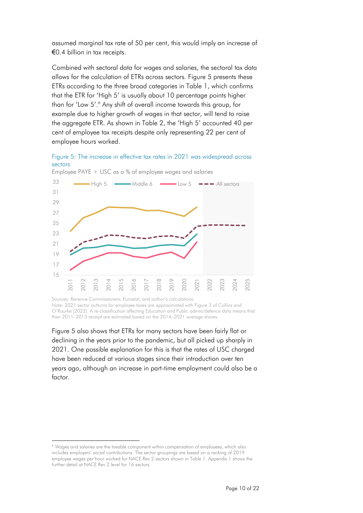assumed marginal tax rate of 50 per cent, this would imply an increase of €0.4 billion in tax receipts.

Combined with sectoral data for wages and salaries, the sectoral tax data allows for the calculation of ETRs across sectors. Figure 5 presents these ETRs according to the three broad categories in Table 1, which confirms that the ETR for 'High 5' is usually about 10 percentage points higher than for 'Low 5'. <sup>6</sup> Any shift of overall income towards this group, for example due to higher growth of wages in that sector, will tend to raise the aggregate ETR. As shown in Table 2, the 'High 5' accounted 40 per cent of employee tax receipts despite only representing 22 per cent of employee hours worked.

Figure 5: The increase in effective tax rates in 2021 was widespread across sectors



Employee PAYE + USC as a % of employee wages and salaries

Sources: Revenue Commissioners; Eurostat; and author's calculations. Note: 2021 sector outturns for employee taxes are approximated with Figure 3 of Collins and O'Rourke (2022). A re-classification affecting Education and Public admin/defence data means that their 2011–2013 receipt are estimated based on the 2014–2021 average shares.

Figure 5 also shows that ETRs for many sectors have been fairly flat or declining in the years prior to the pandemic, but all picked up sharply in 2021. One possible explanation for this is that the rates of USC charged have been reduced at various stages since their introduction over ten years ago, although an increase in part-time employment could also be a factor.

<sup>6</sup> Wages and salaries are the taxable component within compensation of employees, which also includes employers' social contributions. The sector groupings are based on a ranking of 2019 employee wages per hour worked for NACE Rev 2 sectors shown in Table 1. Appendix 1 shows the further detail at NACE Rev 2 level for 16 sectors.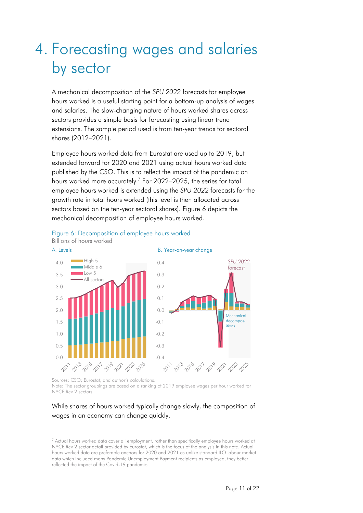## 4. Forecasting wages and salaries by sector

A mechanical decomposition of the *SPU 2022* forecasts for employee hours worked is a useful starting point for a bottom-up analysis of wages and salaries. The slow-changing nature of hours worked shares across sectors provides a simple basis for forecasting using linear trend extensions. The sample period used is from ten-year trends for sectoral shares (2012–2021).

Employee hours worked data from Eurostat are used up to 2019, but extended forward for 2020 and 2021 using actual hours worked data published by the CSO. This is to reflect the impact of the pandemic on hours worked more accurately.<sup>7</sup> For 2022–2025, the series for total employee hours worked is extended using the *SPU 2022* forecasts for the growth rate in total hours worked (this level is then allocated across sectors based on the ten-year sectoral shares). Figure 6 depicts the mechanical decomposition of employee hours worked.



Figure 6: Decomposition of employee hours worked

Sources: CSO; Eurostat; and author's calculations. Note: The sector groupings are based on a ranking of 2019 employee wages per hour worked for NACE Rev 2 sectors

#### While shares of hours worked typically change slowly, the composition of wages in an economy can change quickly.

 $7$  Actual hours worked data cover all employment, rather than specifically employee hours worked at NACE Rev 2 sector detail provided by Eurostat, which is the focus of the analysis in this note. Actual hours worked data are preferable anchors for 2020 and 2021 as unlike standard ILO labour market data which included many Pandemic Unemployment Payment recipients as employed, they better reflected the impact of the Covid-19 pandemic.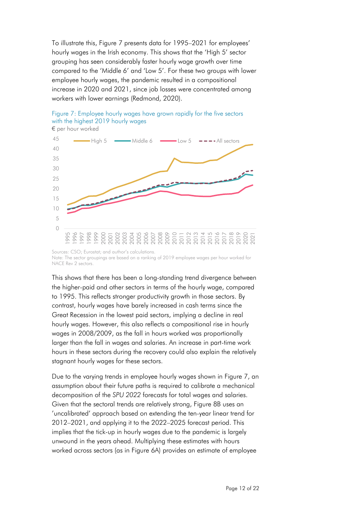To illustrate this, Figure 7 presents data for 1995–2021 for employees' hourly wages in the Irish economy. This shows that the 'High 5' sector grouping has seen considerably faster hourly wage growth over time compared to the 'Middle 6' and 'Low 5'. For these two groups with lower employee hourly wages, the pandemic resulted in a compositional increase in 2020 and 2021, since job losses were concentrated among workers with lower earnings (Redmond, 2020).





This shows that there has been a long-standing trend divergence between the higher-paid and other sectors in terms of the hourly wage, compared to 1995. This reflects stronger productivity growth in those sectors. By contrast, hourly wages have barely increased in cash terms since the Great Recession in the lowest paid sectors, implying a decline in real hourly wages. However, this also reflects a compositional rise in hourly wages in 2008/2009, as the fall in hours worked was proportionally larger than the fall in wages and salaries. An increase in part-time work hours in these sectors during the recovery could also explain the relatively stagnant hourly wages for these sectors.

Due to the varying trends in employee hourly wages shown in Figure 7, an assumption about their future paths is required to calibrate a mechanical decomposition of the *SPU 2022* forecasts for total wages and salaries. Given that the sectoral trends are relatively strong, Figure 8B uses an 'uncalibrated' approach based on extending the ten-year linear trend for 2012–2021, and applying it to the 2022–2025 forecast period. This implies that the tick-up in hourly wages due to the pandemic is largely unwound in the years ahead. Multiplying these estimates with hours worked across sectors (as in Figure 6A) provides an estimate of employee

Sources: CSO; Eurostat; and author's calculations. Note: The sector groupings are based on a ranking of 2019 employee wages per hour worked for NACE Rev 2 sectors.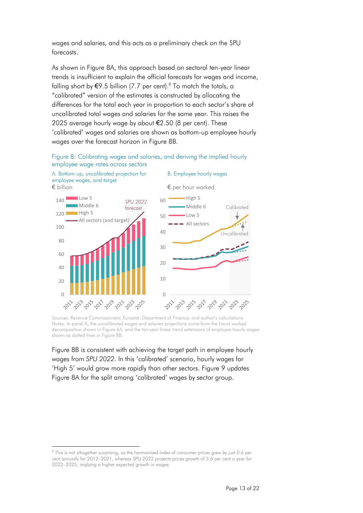wages and salaries, and this acts as a preliminary check on the SPU forecasts.

As shown in Figure 8A, this approach based on sectoral ten-year linear trends is insufficient to explain the official forecasts for wages and income, falling short by €9.5 billion (7.7 per cent).<sup>8</sup> To match the totals, a "calibrated" version of the estimates is constructed by allocating the differences for the total each year in proportion to each sector's share of uncalibrated total wages and salaries for the same year. This raises the 2025 average hourly wage by about €2.50 (8 per cent). These 'calibrated' wages and salaries are shown as bottom-up employee hourly wages over the forecast horizon in Figure 8B.





Sources: Revenue Commissioners; Eurostat; Department of Finance; and author's calculations. Notes: In panel A, the uncalibrated wages and salaries projections come from the hours worked decomposition shown in Figure 6A, and the ten-year linear trend extensions of employee hourly wages shown as dotted lines in Figure 8B.

Figure 8B is consistent with achieving the target path in employee hourly wages from *SPU 2022*. In this 'calibrated' scenario, hourly wages for 'High 5' would grow more rapidly than other sectors. Figure 9 updates Figure 8A for the split among 'calibrated' wages by sector group.

<sup>&</sup>lt;sup>8</sup> This is not altogether surprising, as the harmonised index of consumer prices grew by just 0.6 per cent annually for 2012–2021, whereas SPU 2022 projects prices growth of 3.6 per cent a year for 2022–2025, implying a higher expected growth in wages.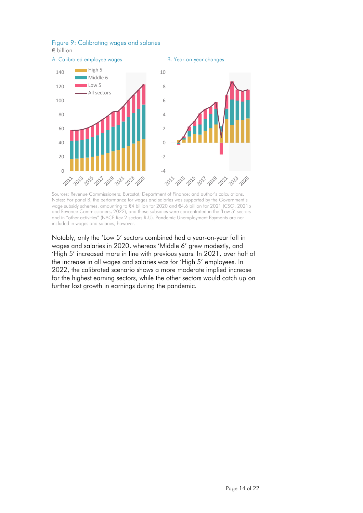

#### Figure 9: Calibrating wages and salaries

€ billion

Sources: Revenue Commissioners; Eurostat; Department of Finance; and author's calculations. Notes: For panel B, the performance for wages and salaries was supported by the Government's wage subsidy schemes, amounting to €4 billion for 2020 and €4.6 billion for 2021 (CSO, 2021b and Revenue Commissioners, 2022), and these subsidies were concentrated in the 'Low 5' sectors and in "other activities" (NACE Rev 2 sectors R-U). Pandemic Unemployment Payments are not included in wages and salaries, however.

Notably, only the 'Low 5' sectors combined had a year-on-year fall in wages and salaries in 2020, whereas 'Middle 6' grew modestly, and 'High 5' increased more in line with previous years. In 2021, over half of the increase in all wages and salaries was for 'High 5' employees. In 2022, the calibrated scenario shows a more moderate implied increase for the highest earning sectors, while the other sectors would catch up on further lost growth in earnings during the pandemic.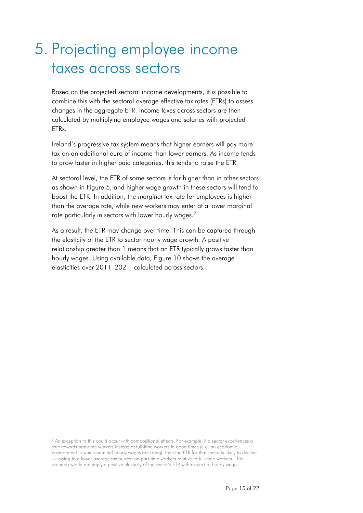### 5. Projecting employee income taxes across sectors

Based on the projected sectoral income developments, it is possible to combine this with the sectoral average effective tax rates (ETRs) to assess changes in the aggregate ETR. Income taxes across sectors are then calculated by multiplying employee wages and salaries with projected ETRs.

Ireland's progressive tax system means that higher earners will pay more tax on an additional euro of income than lower earners. As income tends to grow faster in higher paid categories, this tends to raise the ETR.

At sectoral level, the ETR of some sectors is far higher than in other sectors as shown in Figure 5, and higher wage growth in these sectors will tend to boost the ETR. In addition, the *marginal* tax rate for employees is higher than the average rate, while new workers may enter at a lower marginal rate particularly in sectors with lower hourly wages.<sup>9</sup>

As a result, the ETR may change over time. This can be captured through the elasticity of the ETR to sector hourly wage growth. A positive relationship greater than 1 means that an ETR typically grows faster than hourly wages. Using available data, Figure 10 shows the average elasticities over 2011–2021, calculated across sectors.

<sup>&</sup>lt;sup>9</sup> An exception to this could occur with compositional effects. For example, if a sector experiences a shift towards part-time workers instead of full-time workers in good times (e.g. an economic environment in which nominal hourly wages are rising), then the ETR for that sector is likely to decline — owing to a lower average tax burden on part-time workers relative to full-time workers. This scenario would not imply a positive elasticity of the sector's ETR with respect to hourly wages.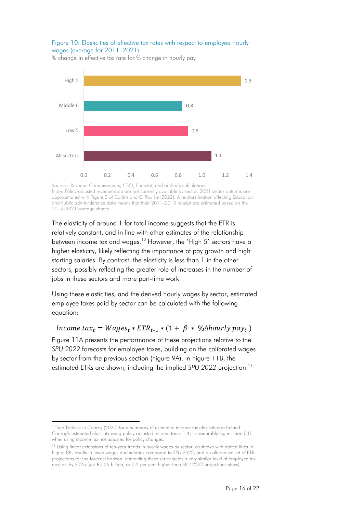#### Figure 10: Elasticities of effective tax rates with respect to employee hourly wages (average for 2011–2021)

% change in effective tax rate for % change in hourly pay



Sources: Revenue Commissioners; CSO; Eurostat; and author's calculations Note: Policy-adjusted revenue data are not currently available by sector. 2021 sector outturns are approximated with Figure 3 of Collins and O'Rourke (2022). A re-classification affecting Education and Public admin/defence data means that their 2011–2013 receipt are estimated based on the 2014–2021 average shares.

The elasticity of around 1 for total income suggests that the ETR is relatively constant, and in line with other estimates of the relationship between income tax and wages.<sup>10</sup> However, the 'High 5' sectors have a higher elasticity, likely reflecting the importance of pay growth and high starting salaries. By contrast, the elasticity is less than 1 in the other sectors, possibly reflecting the greater role of increases in the number of jobs in these sectors and more part-time work.

Using these elasticities, and the derived hourly wages by sector, estimated employee taxes paid by sector can be calculated with the following equation:

#### *Income tax<sub>t</sub>* =  $Wages_t * ETR_{t-1} * (1 + \beta * \% \Delta hourly \ pay_t)$

Figure 11A presents the performance of these projections relative to the *SPU 2022* forecasts for employee taxes, building on the calibrated wages by sector from the previous section (Figure 9A). In Figure 11B, the estimated ETRs are shown, including the implied *SPU 2022* projection.<sup>11</sup>

<sup>&</sup>lt;sup>10</sup> See Table 5 in Conroy (2020) for a summary of estimated income tax elasticities in Ireland. Conroy's estimated elasticity using policy-adjusted income tax is 1.4, considerably higher than 0.8 when using income tax not adjusted for policy changes.

<sup>&</sup>lt;sup>11</sup> Using linear extensions of ten-year trends in hourly wages by sector, as shown with dotted lines in Figure 8B, results in lower wages and salaries compared to *SPU 2022*, and an alternative set of ETR projections for the forecast horizon. Interacting these series yields a very similar level of employee tax receipts by 2025 (just €0.05 billion, or 0.2 per cent higher than *SPU 2022* projections show).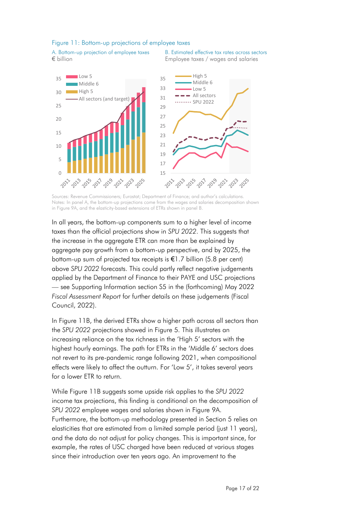#### Figure 11: Bottom-up projections of employee taxes

A. Bottom-up projection of employee taxes € billion

 $\cap$ 

5

10

15

20

 $25$ 

 $30$ 



B. Estimated effective tax rates across sectors Employee taxes / wages and salaries



Notes: In panel A, the bottom-up projections come from the wages and salaries decomposition shown in Figure 9A, and the elasticity-based extensions of ETRs shown in panel B.

In all years, the bottom-up components sum to a higher level of income taxes than the official projections show in *SPU 2022*. This suggests that the increase in the aggregate ETR can more than be explained by aggregate pay growth from a bottom-up perspective, and by 2025, the bottom-up sum of projected tax receipts is €1.7 billion (5.8 per cent) above *SPU 2022* forecasts. This could partly reflect negative judgements applied by the Department of Finance to their PAYE and USC projections — see Supporting Information section S5 in the (forthcoming) May 2022 *Fiscal Assessment Report* for further details on these judgements (Fiscal Council, 2022).

In Figure 11B, the derived ETRs show a higher path across all sectors than the *SPU 2022* projections showed in Figure 5. This illustrates an increasing reliance on the tax richness in the 'High 5' sectors with the highest hourly earnings. The path for ETRs in the 'Middle 6' sectors does not revert to its pre-pandemic range following 2021, when compositional effects were likely to affect the outturn. For 'Low 5', it takes several years for a lower ETR to return.

While Figure 11B suggests some upside risk applies to the *SPU 2022* income tax projections, this finding is conditional on the decomposition of *SPU 2022* employee wages and salaries shown in Figure 9A. Furthermore, the bottom-up methodology presented in Section 5 relies on elasticities that are estimated from a limited sample period (just 11 years), and the data do not adjust for policy changes. This is important since, for example, the rates of USC charged have been reduced at various stages since their introduction over ten years ago. An improvement to the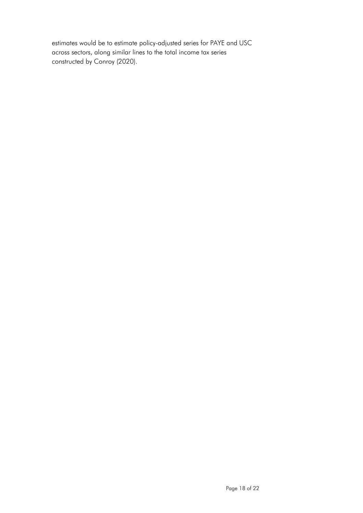estimates would be to estimate policy-adjusted series for PAYE and USC across sectors, along similar lines to the total income tax series constructed by Conroy (2020).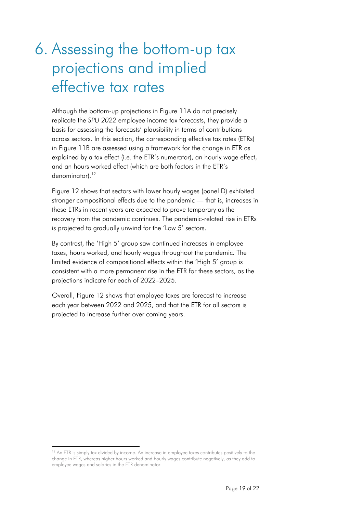## 6. Assessing the bottom-up tax projections and implied effective tax rates

Although the bottom-up projections in Figure 11A do not precisely replicate the *SPU 2022* employee income tax forecasts, they provide a basis for assessing the forecasts' plausibility in terms of contributions across sectors. In this section, the corresponding effective tax rates (ETRs) in Figure 11B are assessed using a framework for the change in ETR as explained by a tax effect (i.e. the ETR's numerator), an hourly wage effect, and an hours worked effect (which are both factors in the ETR's denominator).<sup>12</sup>

Figure 12 shows that sectors with lower hourly wages (panel D) exhibited stronger compositional effects due to the pandemic — that is, increases in these ETRs in recent years are expected to prove temporary as the recovery from the pandemic continues. The pandemic-related rise in ETRs is projected to gradually unwind for the 'Low 5' sectors.

By contrast, the 'High 5' group saw continued increases in employee taxes, hours worked, and hourly wages throughout the pandemic. The limited evidence of compositional effects within the 'High 5' group is consistent with a more permanent rise in the ETR for these sectors, as the projections indicate for each of 2022–2025.

Overall, Figure 12 shows that employee taxes are forecast to increase each year between 2022 and 2025, and that the ETR for all sectors is projected to increase further over coming years.

<sup>&</sup>lt;sup>12</sup> An ETR is simply tax divided by income. An increase in employee taxes contributes positively to the change in ETR, whereas higher hours worked and hourly wages contribute negatively, as they add to employee wages and salaries in the ETR denominator.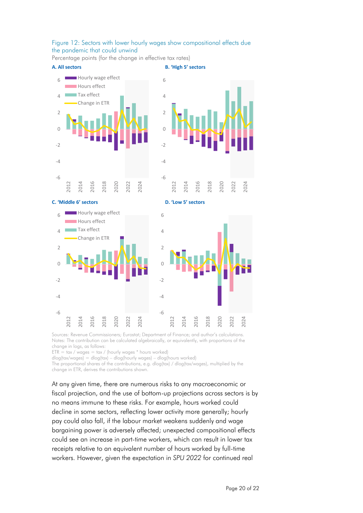#### Figure 12: Sectors with lower hourly wages show compositional effects due the pandemic that could unwind

Percentage points (for the change in effective tax rates)



Sources: Revenue Commissioners; Eurostat; Department of Finance; and author's calculations. Notes: The contribution can be calculated algebraically, or equivalently, with proportions of the change in logs, as follows:

 $ETR = \text{tax / wages} = \text{tax / (hourly wages} * \text{hours worked})$ 

 $d\log(tax/wages) = d\log(tax) - d\log(hourly wages) - d\log(hours worked)$ 

The proportional shares of the contributions, e.g. dlog(tax) / dlog(tax/wages), multiplied by the change in ETR, derives the contributions shown.

At any given time, there are numerous risks to any macroeconomic or fiscal projection, and the use of bottom-up projections across sectors is by no means immune to these risks. For example, hours worked could decline in some sectors, reflecting lower activity more generally; hourly pay could also fall, if the labour market weakens suddenly and wage bargaining power is adversely affected; unexpected compositional effects could see an increase in part-time workers, which can result in lower tax receipts relative to an equivalent number of hours worked by full-time workers. However, given the expectation in *SPU 2022* for continued real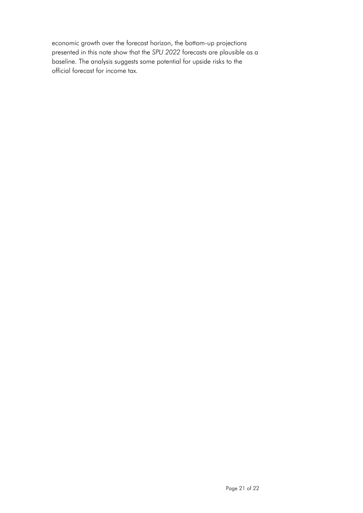economic growth over the forecast horizon, the bottom-up projections presented in this note show that the *SPU 2022* forecasts are plausible as a baseline. The analysis suggests some potential for upside risks to the official forecast for income tax.